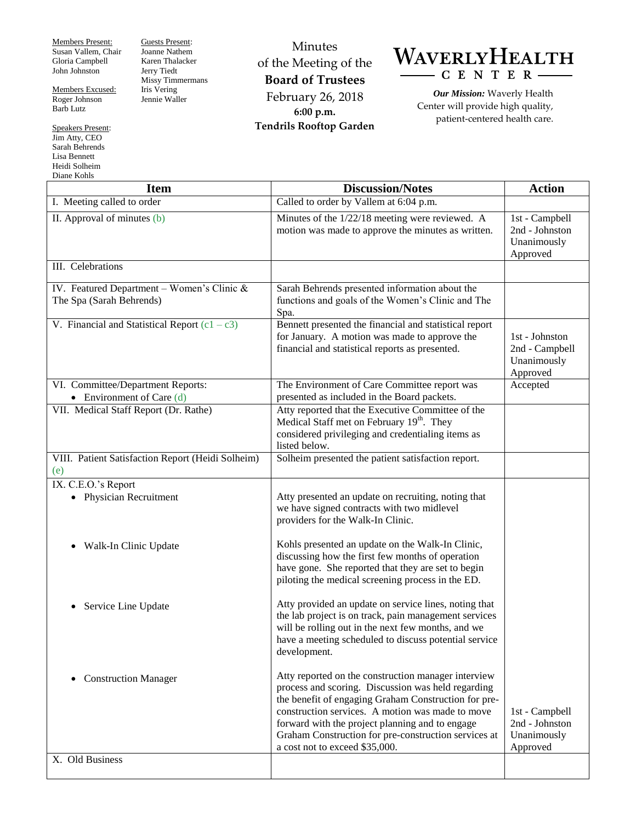Members Present: Susan Vallem, Chair Gloria Campbell John Johnston

Members Excused: Roger Johnson Barb Lutz

Speakers Present: Jim Atty, CEO Sarah Behrends Lisa Bennett Heidi Solheim Diane Kohls

Guests Present: Joanne Nathem Karen Thalacker Jerry Tiedt Missy Timmermans Iris Vering Jennie Waller

Minutes of the Meeting of the **Board of Trustees** February 26, 2018 **6:00 p.m. Tendrils Rooftop Garden**



*Our Mission:* Waverly Health Center will provide high quality, patient-centered health care.

| ртане indins<br><b>Item</b>                                              | <b>Discussion/Notes</b>                                                                                                                                                                                                                                                                                                                                            | <b>Action</b>                                               |
|--------------------------------------------------------------------------|--------------------------------------------------------------------------------------------------------------------------------------------------------------------------------------------------------------------------------------------------------------------------------------------------------------------------------------------------------------------|-------------------------------------------------------------|
| I. Meeting called to order                                               | Called to order by Vallem at 6:04 p.m.                                                                                                                                                                                                                                                                                                                             |                                                             |
| II. Approval of minutes (b)                                              | Minutes of the 1/22/18 meeting were reviewed. A<br>motion was made to approve the minutes as written.                                                                                                                                                                                                                                                              | 1st - Campbell<br>2nd - Johnston<br>Unanimously<br>Approved |
| III. Celebrations                                                        |                                                                                                                                                                                                                                                                                                                                                                    |                                                             |
| IV. Featured Department - Women's Clinic $&$<br>The Spa (Sarah Behrends) | Sarah Behrends presented information about the<br>functions and goals of the Women's Clinic and The<br>Spa.                                                                                                                                                                                                                                                        |                                                             |
| V. Financial and Statistical Report $(c1 - c3)$                          | Bennett presented the financial and statistical report<br>for January. A motion was made to approve the<br>financial and statistical reports as presented.                                                                                                                                                                                                         | 1st - Johnston<br>2nd - Campbell<br>Unanimously<br>Approved |
| VI. Committee/Department Reports:<br>• Environment of Care $(d)$         | The Environment of Care Committee report was<br>presented as included in the Board packets.                                                                                                                                                                                                                                                                        | Accepted                                                    |
| VII. Medical Staff Report (Dr. Rathe)                                    | Atty reported that the Executive Committee of the<br>Medical Staff met on February 19 <sup>th</sup> . They<br>considered privileging and credentialing items as<br>listed below.                                                                                                                                                                                   |                                                             |
| VIII. Patient Satisfaction Report (Heidi Solheim)<br>(e)                 | Solheim presented the patient satisfaction report.                                                                                                                                                                                                                                                                                                                 |                                                             |
| IX. C.E.O.'s Report<br>• Physician Recruitment                           | Atty presented an update on recruiting, noting that<br>we have signed contracts with two midlevel<br>providers for the Walk-In Clinic.                                                                                                                                                                                                                             |                                                             |
| Walk-In Clinic Update                                                    | Kohls presented an update on the Walk-In Clinic,<br>discussing how the first few months of operation<br>have gone. She reported that they are set to begin<br>piloting the medical screening process in the ED.                                                                                                                                                    |                                                             |
| Service Line Update                                                      | Atty provided an update on service lines, noting that<br>the lab project is on track, pain management services<br>will be rolling out in the next few months, and we<br>have a meeting scheduled to discuss potential service<br>development.                                                                                                                      |                                                             |
| <b>Construction Manager</b>                                              | Atty reported on the construction manager interview<br>process and scoring. Discussion was held regarding<br>the benefit of engaging Graham Construction for pre-<br>construction services. A motion was made to move<br>forward with the project planning and to engage<br>Graham Construction for pre-construction services at<br>a cost not to exceed \$35,000. | 1st - Campbell<br>2nd - Johnston<br>Unanimously<br>Approved |
| X. Old Business                                                          |                                                                                                                                                                                                                                                                                                                                                                    |                                                             |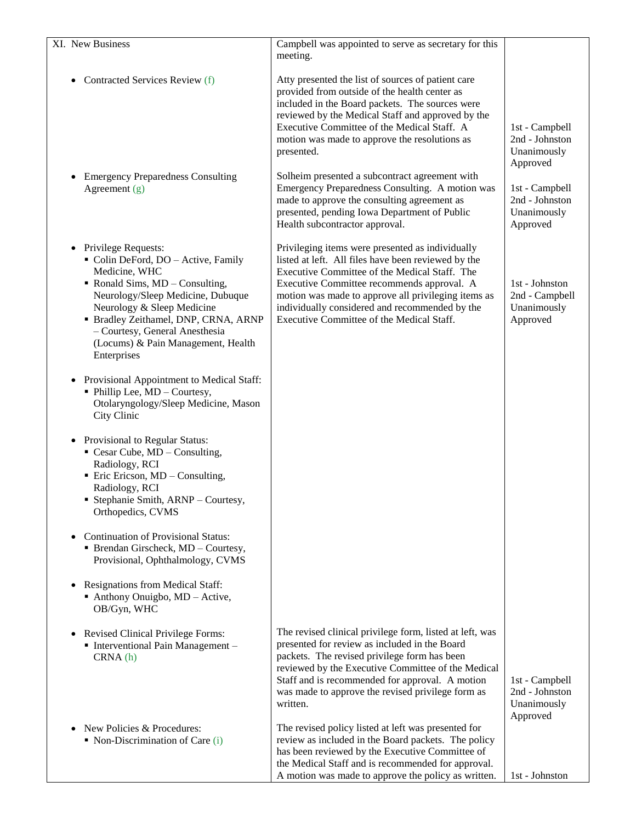| XI. New Business                                                                                                                                                                                                                                                                                                                         | Campbell was appointed to serve as secretary for this                                                                                                                                                                                                                                                                                                        |                                                             |
|------------------------------------------------------------------------------------------------------------------------------------------------------------------------------------------------------------------------------------------------------------------------------------------------------------------------------------------|--------------------------------------------------------------------------------------------------------------------------------------------------------------------------------------------------------------------------------------------------------------------------------------------------------------------------------------------------------------|-------------------------------------------------------------|
|                                                                                                                                                                                                                                                                                                                                          | meeting.                                                                                                                                                                                                                                                                                                                                                     |                                                             |
| Contracted Services Review (f)<br>٠                                                                                                                                                                                                                                                                                                      | Atty presented the list of sources of patient care<br>provided from outside of the health center as<br>included in the Board packets. The sources were<br>reviewed by the Medical Staff and approved by the<br>Executive Committee of the Medical Staff. A<br>motion was made to approve the resolutions as<br>presented.                                    | 1st - Campbell<br>2nd - Johnston<br>Unanimously<br>Approved |
| <b>Emergency Preparedness Consulting</b><br>$\bullet$<br>Agreement $(g)$                                                                                                                                                                                                                                                                 | Solheim presented a subcontract agreement with<br>Emergency Preparedness Consulting. A motion was<br>made to approve the consulting agreement as<br>presented, pending Iowa Department of Public<br>Health subcontractor approval.                                                                                                                           | 1st - Campbell<br>2nd - Johnston<br>Unanimously<br>Approved |
| Privilege Requests:<br>$\bullet$<br>Colin DeFord, DO - Active, Family<br>Medicine, WHC<br>$\blacksquare$ Ronald Sims, MD – Consulting,<br>Neurology/Sleep Medicine, Dubuque<br>Neurology & Sleep Medicine<br>· Bradley Zeithamel, DNP, CRNA, ARNP<br>- Courtesy, General Anesthesia<br>(Locums) & Pain Management, Health<br>Enterprises | Privileging items were presented as individually<br>listed at left. All files have been reviewed by the<br>Executive Committee of the Medical Staff. The<br>Executive Committee recommends approval. A<br>motion was made to approve all privileging items as<br>individually considered and recommended by the<br>Executive Committee of the Medical Staff. | 1st - Johnston<br>2nd - Campbell<br>Unanimously<br>Approved |
| Provisional Appointment to Medical Staff:<br>$\bullet$<br>• Phillip Lee, MD - Courtesy,<br>Otolaryngology/Sleep Medicine, Mason<br>City Clinic                                                                                                                                                                                           |                                                                                                                                                                                                                                                                                                                                                              |                                                             |
| Provisional to Regular Status:<br>٠<br>$\blacksquare$ Cesar Cube, MD – Consulting,<br>Radiology, RCI<br>• Eric Ericson, MD – Consulting,<br>Radiology, RCI<br>• Stephanie Smith, ARNP – Courtesy,<br>Orthopedics, CVMS                                                                                                                   |                                                                                                                                                                                                                                                                                                                                                              |                                                             |
| <b>Continuation of Provisional Status:</b><br>٠<br>• Brendan Girscheck, MD - Courtesy,<br>Provisional, Ophthalmology, CVMS                                                                                                                                                                                                               |                                                                                                                                                                                                                                                                                                                                                              |                                                             |
| Resignations from Medical Staff:<br>$\bullet$<br>Anthony Onuigbo, MD - Active,<br>OB/Gyn, WHC                                                                                                                                                                                                                                            |                                                                                                                                                                                                                                                                                                                                                              |                                                             |
| <b>Revised Clinical Privilege Forms:</b><br>$\bullet$<br>• Interventional Pain Management -<br>CRNA(h)                                                                                                                                                                                                                                   | The revised clinical privilege form, listed at left, was<br>presented for review as included in the Board<br>packets. The revised privilege form has been<br>reviewed by the Executive Committee of the Medical<br>Staff and is recommended for approval. A motion<br>was made to approve the revised privilege form as<br>written.                          | 1st - Campbell<br>2nd - Johnston<br>Unanimously             |
| New Policies & Procedures:<br>$\bullet$<br>• Non-Discrimination of Care $(i)$                                                                                                                                                                                                                                                            | The revised policy listed at left was presented for<br>review as included in the Board packets. The policy<br>has been reviewed by the Executive Committee of<br>the Medical Staff and is recommended for approval.<br>A motion was made to approve the policy as written.                                                                                   | Approved<br>1st - Johnston                                  |